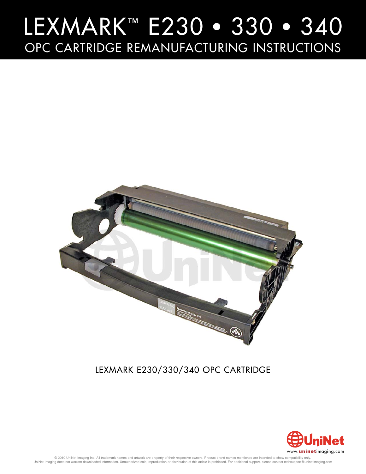

### LEXMARK E230/330/340 OPC CARTRIDGE LEXMARK E230/330/340 OPC CARTRIDGE



© 2010 UniNet Imaging Inc. All trademark names and artwork are property of their respective owners. Product brand names mentioned are intended to show compatibility only.<br>UniNet Imaging does not warrant downloaded informat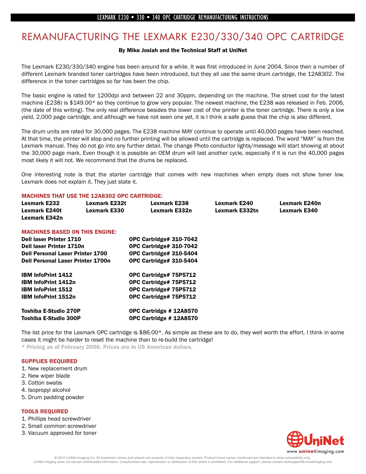## **EXAMPLE THE LEXMANUFACTURING THE LEXMANUFACTURE IS A SUMPLE THE LEXMANUFACTURE IS A SUMPLE THE LEXMANUFACTURE I**<br>By Mike Josiah and the Technical Staff at UniNet

The Lexmark E230/330/340 engine has been around for a while. It was first introduced in June 2004. Since then a number of different Lexmark branded toner cartridges have been introduced, but they all use the same drum cartridge, the 12A8302. The difference in the toner cartridges so far has been the chip.

The basic engine is rated for 1200dpi and between 22 and 30ppm, depending on the machine. The street cost for the latest machine (E238) is \$149.00\* so they continue to grow very popular. The newest machine, the E238 was released in Feb. 2006, (the date of this writing). The only real difference besides the lower cost of the printer is the toner cartridge. There is only a low yield, 2,000 page cartridge, and although we have not seen one yet, it is I think a safe guess that the chip is also different.

The drum units are rated for 30,000 pages. The E238 machine MAY continue to operate until 40,000 pages have been reached. At that time, the printer will stop and no further printing will be allowed until the cartridge is replaced. The word "MAY" is from the Lexmark manual. They do not go into any further detail. The change Photo conductor lights/message will start showing at about the 30,000 page mark. Even though it is possible an OEM drum will last another cycle, especially if it is run the 40,000 pages most likely it will not. We recommend that the drums be replaced.

One interesting note is that the starter cartridge that comes with new machines when empty does not show toner low. Lexmark does not explain it. They just state it.

#### MACHINES THAT USE THE 12A8302 OPC CARTRIDGE:

| <b>Lexmark E232</b>  | Lexmark E232t       | <b>Lexmark E238</b> | Lexmark E240   | Lexmark E240n |
|----------------------|---------------------|---------------------|----------------|---------------|
| <b>Lexmark E240t</b> | <b>Lexmark E330</b> | Lexmark E332n       | Lexmark E332tn | Lexmark E340  |
| Lexmark E342n        |                     |                     |                |               |

#### MACHINES BASED ON THIS ENGINE:

| <b>Dell laser Printer 1710</b>           | OPC Cartridge# 310-7042 |
|------------------------------------------|-------------------------|
| <b>Dell laser Printer 1710n</b>          | OPC Cartridge# 310-7042 |
| <b>Dell Personal Laser Printer 1700</b>  | OPC Cartridge# 310-5404 |
| <b>Dell Personal Laser Printer 1700n</b> | OPC Cartridge# 310-5404 |
| <b>IBM InfoPrint 1412</b>                | OPC Cartridge# 75P5712  |
| <b>IBM InfoPrint 1412n</b>               | OPC Cartridge# 75P5712  |
| <b>IBM InfoPrint 1512</b>                | OPC Cartridge# 75P5712  |
| <b>IBM InfoPrint 1512n</b>               | OPC Cartridge# 75P5712  |
| Toshiba E-Studio 270P                    | OPC Cartridge #12A8570  |
| Toshiba E-Studio 300P                    | OPC Cartridge # 12A8570 |

The list price for the Lexmark OPC cartridge is \$86.00\*. As simple as these are to do, they well worth the effort. I think in some cases it might be harder to reset the machine than to re-build the cartridge! \* Pricing as of February 2006. Prices are in US American dollars.

#### SUPPLIES REQUIRED

- 1. New replacement drum
- 2. New wiper blade
- 3. Cotton swabs
- 4. Isopropyl alcohol
- 5. Drum padding powder

#### TOOLS REQUIRED

- 1. Phillips head screwdriver
- 2. Small common screwdriver
- 3. Vacuum approved for toner

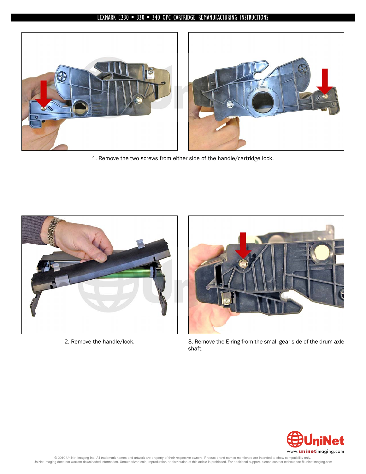

1. Remove the two screws from either side of the handle/cartridge lock.





2. Remove the handle/lock. 3. Remove the E-ring from the small gear side of the drum axle shaft.

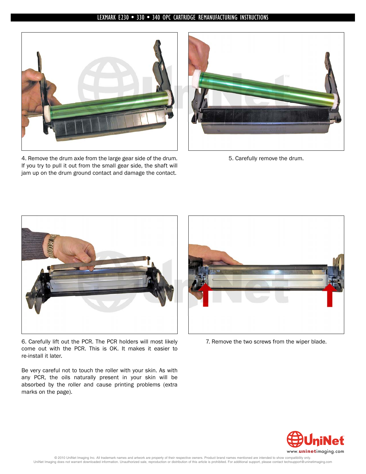

4. Remove the drum axle from the large gear side of the drum. If you try to pull it out from the small gear side, the shaft will jam up on the drum ground contact and damage the contact.



5. Carefully remove the drum.



6. Carefully lift out the PCR. The PCR holders will most likely come out with the PCR. This is OK. It makes it easier to re-install it later.

Be very careful not to touch the roller with your skin. As with any PCR, the oils naturally present in your skin will be absorbed by the roller and cause printing problems (extra marks on the page).



7. Remove the two screws from the wiper blade.

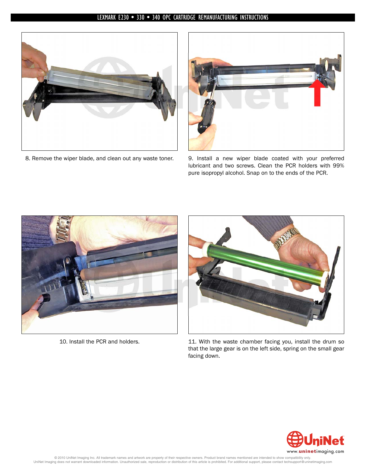



8. Remove the wiper blade, and clean out any waste toner. 9. Install a new wiper blade coated with your preferred lubricant and two screws. Clean the PCR holders with 99% pure isopropyl alcohol. Snap on to the ends of the PCR.





10. Install the PCR and holders. 11. With the waste chamber facing you, install the drum so that the large gear is on the left side, spring on the small gear facing down.

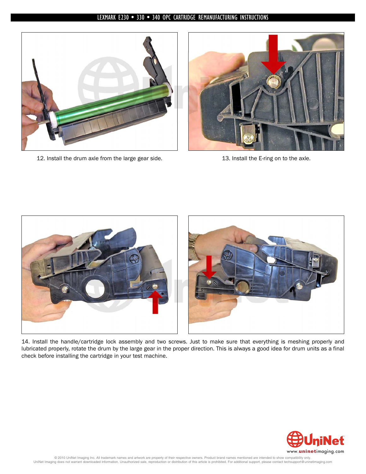

12. Install the drum axle from the large gear side. 13. Install the E-ring on to the axle.





14. Install the handle/cartridge lock assembly and two screws. Just to make sure that everything is meshing properly and lubricated properly, rotate the drum by the large gear in the proper direction. This is always a good idea for drum units as a final check before installing the cartridge in your test machine.

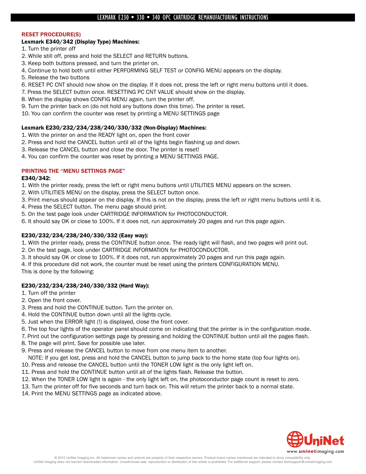#### RESET PROCEDURE(S)

#### Lexmark E340/342 (Display Type) Machines:

- 1. Turn the printer off
- 2. While still off, press and hold the SELECT and RETURN buttons.
- 3. Keep both buttons pressed, and turn the printer on.
- 4. Continue to hold both until either PERFORMING SELF TEST or CONFIG MENU appears on the display.
- 5. Release the two buttons
- 6. RESET PC CNT should now show on the display. If it does not, press the left or right menu buttons until it does.
- 7. Press the SELECT button once. RESETTING PC CNT VALUE should show on the display.
- 8. When the display shows CONFIG MENU again, turn the printer off.
- 9. Turn the printer back on (do not hold any buttons down this time). The printer is reset.
- 10. You can confirm the counter was reset by printing a MENU SETTINGS page

#### Lexmark E230/232/234/238/240/330/332 (Non-Display) Machines:

- 1. With the printer on and the READY light on, open the front cover
- 2. Press and hold the CANCEL button until all of the lights begin flashing up and down.
- 3. Release the CANCEL button and close the door. The printer is reset!
- 4. You can confirm the counter was reset by printing a MENU SETTINGS PAGE.

#### PRINTING THE "MENU SETTINGS PAGE"

#### E340/342:

- 1. With the printer ready, press the left or right menu buttons until UTILITIES MENU appears on the screen.
- 2. With UTILITIES MENU on the display, press the SELECT button once.
- 3. Print menus should appear on the display. If this is not on the display, press the left or right menu buttons until it is.
- 4. Press the SELECT button. The menu page should print.
- 5. On the test page look under CARTRIDGE INFORMATION for PHOTOCONDUCTOR.
- 6. It should say OK or close to 100%. If it does not, run approximately 20 pages and run this page again.

#### E230/232/234/238/240/330/332 (Easy way):

- 1. With the printer ready, press the CONTINUE button once. The ready light will flash, and two pages will print out.
- 2. On the test page, look under CARTRIDGE INFORMATION for PHOTOCONDUCTOR.
- 3. It should say OK or close to 100%. If it does not, run approximately 20 pages and run this page again.
- 4. If this procedure did not work, the counter must be reset using the printers CONFIGURATION MENU.

This is done by the following:

#### E230/232/234/238/240/330/332 (Hard Way):

1. Turn off the printer

- 2. Open the front cover.
- 3. Press and hold the CONTINUE button. Turn the printer on.
- 4. Hold the CONTINUE button down until all the lights cycle.
- 5. Just when the ERROR light (!) is displayed, close the front cover.
- 6. The top four lights of the operator panel should come on indicating that the printer is in the configuration mode.
- 7. Print out the configuration settings page by pressing and holding the CONTINUE button until all the pages flash.
- 8. The page will print. Save for possible use later.
- 9. Press and release the CANCEL button to move from one menu item to another.
- NOTE: If you get lost, press and hold the CANCEL button to jump back to the home state (top four lights on).
- 10. Press and release the CANCEL button until the TONER LOW light is the only light left on.
- 11. Press and hold the CONTINUE button until all of the lights flash. Release the button.
- 12. When the TONER LOW light is again the only light left on, the photoconductor page count is reset to zero.
- 13. Turn the printer off for five seconds and turn back on. This will return the printer back to a normal state.
- 14. Print the MENU SETTINGS page as indicated above.